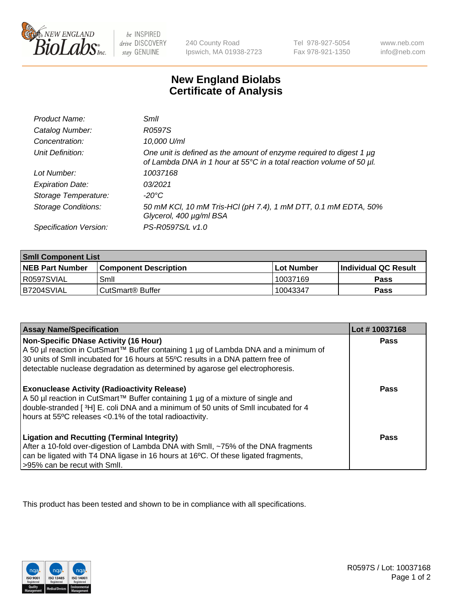

 $be$  INSPIRED drive DISCOVERY stay GENUINE

240 County Road Ipswich, MA 01938-2723 Tel 978-927-5054 Fax 978-921-1350 www.neb.com info@neb.com

## **New England Biolabs Certificate of Analysis**

| Product Name:              | Smil                                                                                                                                        |
|----------------------------|---------------------------------------------------------------------------------------------------------------------------------------------|
| Catalog Number:            | R0597S                                                                                                                                      |
| Concentration:             | 10,000 U/ml                                                                                                                                 |
| Unit Definition:           | One unit is defined as the amount of enzyme required to digest 1 µg<br>of Lambda DNA in 1 hour at 55°C in a total reaction volume of 50 µl. |
| Lot Number:                | 10037168                                                                                                                                    |
| <b>Expiration Date:</b>    | 0.3/2021                                                                                                                                    |
| Storage Temperature:       | -20°C                                                                                                                                       |
| <b>Storage Conditions:</b> | 50 mM KCl, 10 mM Tris-HCl (pH 7.4), 1 mM DTT, 0.1 mM EDTA, 50%<br>Glycerol, 400 µg/ml BSA                                                   |
| Specification Version:     | PS-R0597S/L v1.0                                                                                                                            |

| <b>Smil Component List</b> |                              |              |                       |  |
|----------------------------|------------------------------|--------------|-----------------------|--|
| <b>NEB Part Number</b>     | <b>Component Description</b> | l Lot Number | ∣Individual QC Result |  |
| R0597SVIAL                 | Smil                         | 10037169     | Pass                  |  |
| B7204SVIAL                 | CutSmart <sup>®</sup> Buffer | 10043347     | Pass                  |  |

| <b>Assay Name/Specification</b>                                                                                                                                                                                                                                                          | Lot #10037168 |
|------------------------------------------------------------------------------------------------------------------------------------------------------------------------------------------------------------------------------------------------------------------------------------------|---------------|
| <b>Non-Specific DNase Activity (16 Hour)</b><br>A 50 µl reaction in CutSmart™ Buffer containing 1 µg of Lambda DNA and a minimum of<br>30 units of Smll incubated for 16 hours at 55°C results in a DNA pattern free of                                                                  | <b>Pass</b>   |
| detectable nuclease degradation as determined by agarose gel electrophoresis.                                                                                                                                                                                                            |               |
| <b>Exonuclease Activity (Radioactivity Release)</b><br>A 50 µl reaction in CutSmart™ Buffer containing 1 µg of a mixture of single and<br>double-stranded [3H] E. coli DNA and a minimum of 50 units of Smll incubated for 4<br>hours at 55°C releases <0.1% of the total radioactivity. | Pass          |
| <b>Ligation and Recutting (Terminal Integrity)</b><br>After a 10-fold over-digestion of Lambda DNA with Smll, ~75% of the DNA fragments<br>can be ligated with T4 DNA ligase in 16 hours at 16°C. Of these ligated fragments,<br>>95% can be recut with Smll.                            | Pass          |

This product has been tested and shown to be in compliance with all specifications.